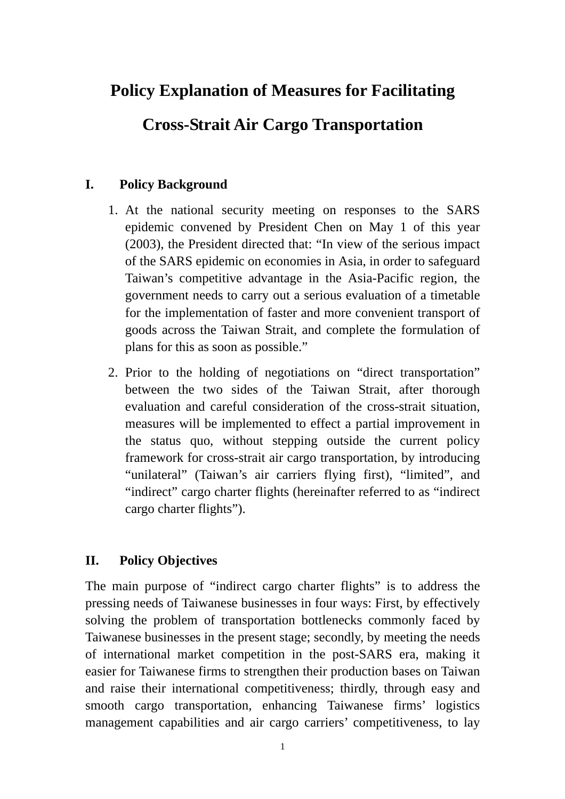# **Policy Explanation of Measures for Facilitating**

# **Cross-Strait Air Cargo Transportation**

# **I. Policy Background**

- 1. At the national security meeting on responses to the SARS epidemic convened by President Chen on May 1 of this year (2003), the President directed that: "In view of the serious impact of the SARS epidemic on economies in Asia, in order to safeguard Taiwan's competitive advantage in the Asia-Pacific region, the government needs to carry out a serious evaluation of a timetable for the implementation of faster and more convenient transport of goods across the Taiwan Strait, and complete the formulation of plans for this as soon as possible."
- 2. Prior to the holding of negotiations on "direct transportation" between the two sides of the Taiwan Strait, after thorough evaluation and careful consideration of the cross-strait situation, measures will be implemented to effect a partial improvement in the status quo, without stepping outside the current policy framework for cross-strait air cargo transportation, by introducing "unilateral" (Taiwan's air carriers flying first), "limited", and "indirect" cargo charter flights (hereinafter referred to as "indirect cargo charter flights").

## **II. Policy Objectives**

The main purpose of "indirect cargo charter flights" is to address the pressing needs of Taiwanese businesses in four ways: First, by effectively solving the problem of transportation bottlenecks commonly faced by Taiwanese businesses in the present stage; secondly, by meeting the needs of international market competition in the post-SARS era, making it easier for Taiwanese firms to strengthen their production bases on Taiwan and raise their international competitiveness; thirdly, through easy and smooth cargo transportation, enhancing Taiwanese firms' logistics management capabilities and air cargo carriers' competitiveness, to lay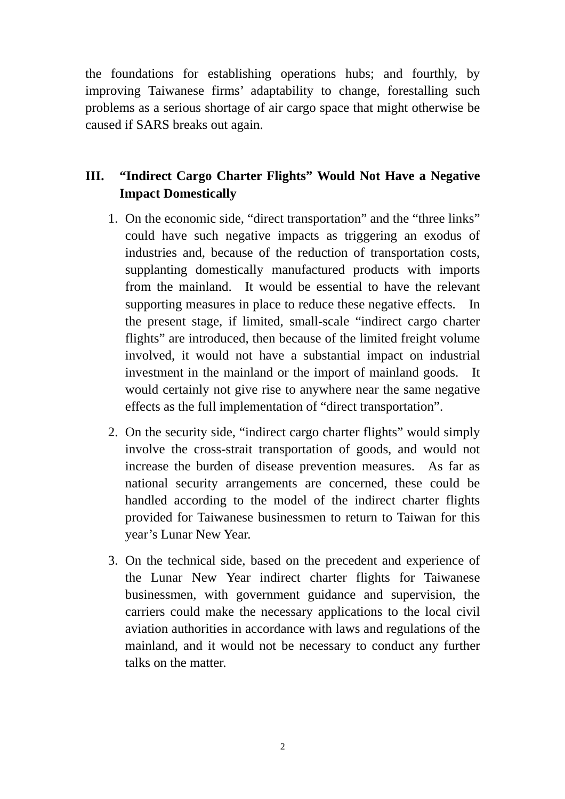the foundations for establishing operations hubs; and fourthly, by improving Taiwanese firms' adaptability to change, forestalling such problems as a serious shortage of air cargo space that might otherwise be caused if SARS breaks out again.

# **III. "Indirect Cargo Charter Flights" Would Not Have a Negative Impact Domestically**

- 1. On the economic side, "direct transportation" and the "three links" could have such negative impacts as triggering an exodus of industries and, because of the reduction of transportation costs, supplanting domestically manufactured products with imports from the mainland. It would be essential to have the relevant supporting measures in place to reduce these negative effects. In the present stage, if limited, small-scale "indirect cargo charter flights" are introduced, then because of the limited freight volume involved, it would not have a substantial impact on industrial investment in the mainland or the import of mainland goods. It would certainly not give rise to anywhere near the same negative effects as the full implementation of "direct transportation".
- 2. On the security side, "indirect cargo charter flights" would simply involve the cross-strait transportation of goods, and would not increase the burden of disease prevention measures. As far as national security arrangements are concerned, these could be handled according to the model of the indirect charter flights provided for Taiwanese businessmen to return to Taiwan for this year's Lunar New Year.
- 3. On the technical side, based on the precedent and experience of the Lunar New Year indirect charter flights for Taiwanese businessmen, with government guidance and supervision, the carriers could make the necessary applications to the local civil aviation authorities in accordance with laws and regulations of the mainland, and it would not be necessary to conduct any further talks on the matter.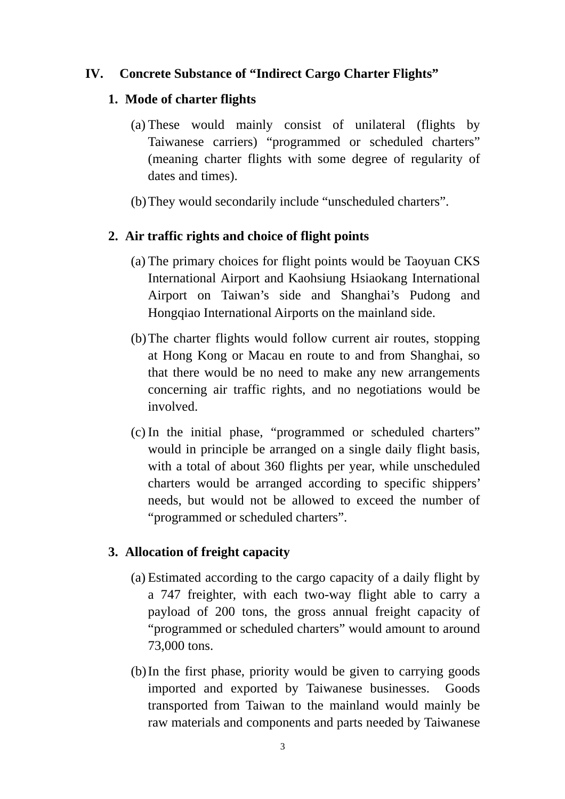# **IV. Concrete Substance of "Indirect Cargo Charter Flights"**

#### **1. Mode of charter flights**

- (a) These would mainly consist of unilateral (flights by Taiwanese carriers) "programmed or scheduled charters" (meaning charter flights with some degree of regularity of dates and times).
- (b)They would secondarily include "unscheduled charters".

#### **2. Air traffic rights and choice of flight points**

- (a) The primary choices for flight points would be Taoyuan CKS International Airport and Kaohsiung Hsiaokang International Airport on Taiwan's side and Shanghai's Pudong and Hongqiao International Airports on the mainland side.
- (b)The charter flights would follow current air routes, stopping at Hong Kong or Macau en route to and from Shanghai, so that there would be no need to make any new arrangements concerning air traffic rights, and no negotiations would be involved.
- (c) In the initial phase, "programmed or scheduled charters" would in principle be arranged on a single daily flight basis, with a total of about 360 flights per year, while unscheduled charters would be arranged according to specific shippers' needs, but would not be allowed to exceed the number of "programmed or scheduled charters".

#### **3. Allocation of freight capacity**

- (a) Estimated according to the cargo capacity of a daily flight by a 747 freighter, with each two-way flight able to carry a payload of 200 tons, the gross annual freight capacity of "programmed or scheduled charters" would amount to around 73,000 tons.
- (b)In the first phase, priority would be given to carrying goods imported and exported by Taiwanese businesses. Goods transported from Taiwan to the mainland would mainly be raw materials and components and parts needed by Taiwanese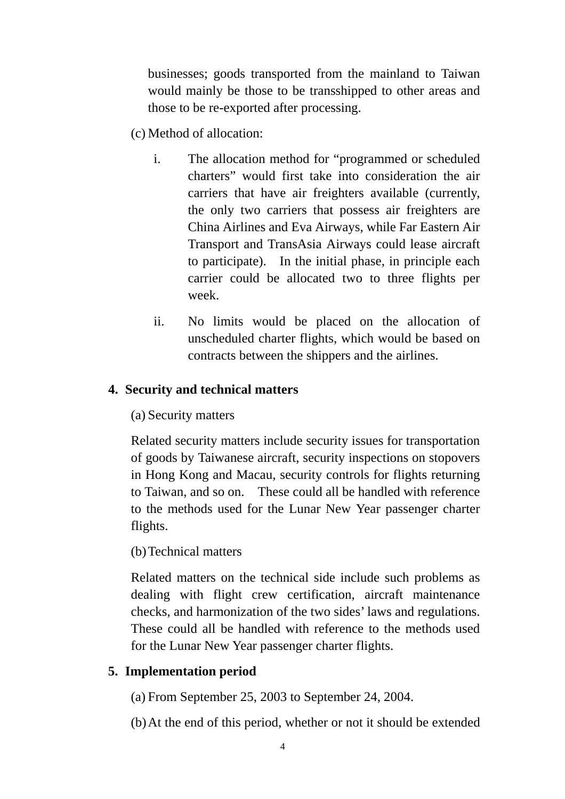businesses; goods transported from the mainland to Taiwan would mainly be those to be transshipped to other areas and those to be re-exported after processing.

(c) Method of allocation:

- i. The allocation method for "programmed or scheduled charters" would first take into consideration the air carriers that have air freighters available (currently, the only two carriers that possess air freighters are China Airlines and Eva Airways, while Far Eastern Air Transport and TransAsia Airways could lease aircraft to participate). In the initial phase, in principle each carrier could be allocated two to three flights per week.
- ii. No limits would be placed on the allocation of unscheduled charter flights, which would be based on contracts between the shippers and the airlines.

# **4. Security and technical matters**

(a) Security matters

Related security matters include security issues for transportation of goods by Taiwanese aircraft, security inspections on stopovers in Hong Kong and Macau, security controls for flights returning to Taiwan, and so on. These could all be handled with reference to the methods used for the Lunar New Year passenger charter flights.

## (b)Technical matters

Related matters on the technical side include such problems as dealing with flight crew certification, aircraft maintenance checks, and harmonization of the two sides' laws and regulations. These could all be handled with reference to the methods used for the Lunar New Year passenger charter flights.

## **5. Implementation period**

(a) From September 25, 2003 to September 24, 2004.

(b)At the end of this period, whether or not it should be extended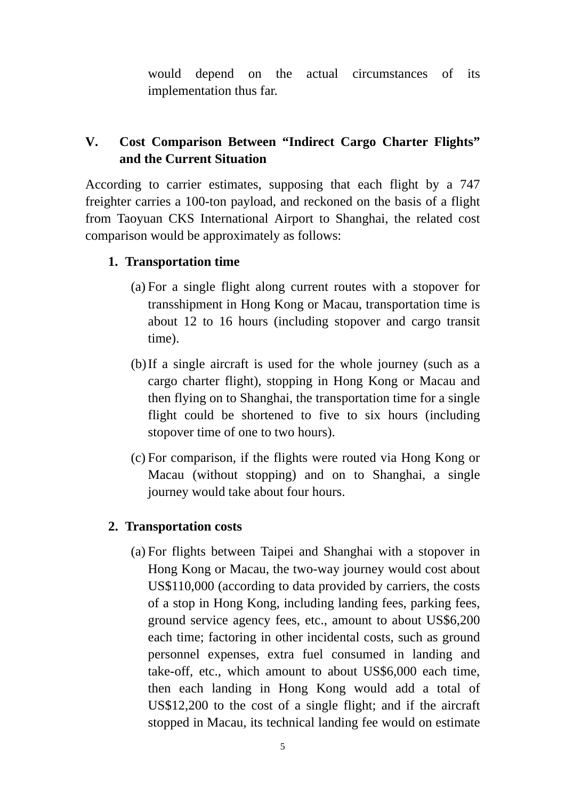would depend on the actual circumstances of its implementation thus far.

# **V. Cost Comparison Between "Indirect Cargo Charter Flights" and the Current Situation**

According to carrier estimates, supposing that each flight by a 747 freighter carries a 100-ton payload, and reckoned on the basis of a flight from Taoyuan CKS International Airport to Shanghai, the related cost comparison would be approximately as follows:

## **1. Transportation time**

- (a) For a single flight along current routes with a stopover for transshipment in Hong Kong or Macau, transportation time is about 12 to 16 hours (including stopover and cargo transit time).
- (b)If a single aircraft is used for the whole journey (such as a cargo charter flight), stopping in Hong Kong or Macau and then flying on to Shanghai, the transportation time for a single flight could be shortened to five to six hours (including stopover time of one to two hours).
- (c) For comparison, if the flights were routed via Hong Kong or Macau (without stopping) and on to Shanghai, a single journey would take about four hours.

## **2. Transportation costs**

(a) For flights between Taipei and Shanghai with a stopover in Hong Kong or Macau, the two-way journey would cost about US\$110,000 (according to data provided by carriers, the costs of a stop in Hong Kong, including landing fees, parking fees, ground service agency fees, etc., amount to about US\$6,200 each time; factoring in other incidental costs, such as ground personnel expenses, extra fuel consumed in landing and take-off, etc., which amount to about US\$6,000 each time, then each landing in Hong Kong would add a total of US\$12,200 to the cost of a single flight; and if the aircraft stopped in Macau, its technical landing fee would on estimate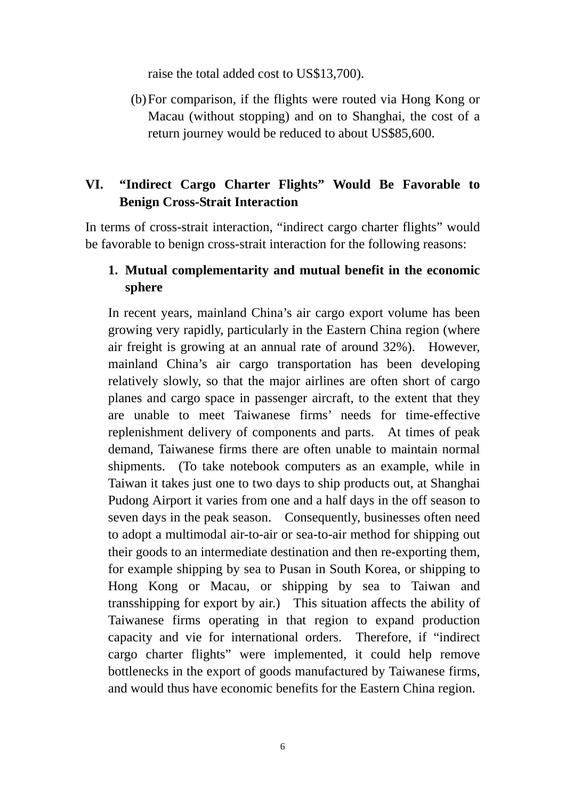raise the total added cost to US\$13,700).

(b)For comparison, if the flights were routed via Hong Kong or Macau (without stopping) and on to Shanghai, the cost of a return journey would be reduced to about US\$85,600.

# **VI. "Indirect Cargo Charter Flights" Would Be Favorable to Benign Cross-Strait Interaction**

In terms of cross-strait interaction, "indirect cargo charter flights" would be favorable to benign cross-strait interaction for the following reasons:

#### **1. Mutual complementarity and mutual benefit in the economic sphere**

In recent years, mainland China's air cargo export volume has been growing very rapidly, particularly in the Eastern China region (where air freight is growing at an annual rate of around 32%). However, mainland China's air cargo transportation has been developing relatively slowly, so that the major airlines are often short of cargo planes and cargo space in passenger aircraft, to the extent that they are unable to meet Taiwanese firms' needs for time-effective replenishment delivery of components and parts. At times of peak demand, Taiwanese firms there are often unable to maintain normal shipments. (To take notebook computers as an example, while in Taiwan it takes just one to two days to ship products out, at Shanghai Pudong Airport it varies from one and a half days in the off season to seven days in the peak season. Consequently, businesses often need to adopt a multimodal air-to-air or sea-to-air method for shipping out their goods to an intermediate destination and then re-exporting them, for example shipping by sea to Pusan in South Korea, or shipping to Hong Kong or Macau, or shipping by sea to Taiwan and transshipping for export by air.) This situation affects the ability of Taiwanese firms operating in that region to expand production capacity and vie for international orders. Therefore, if "indirect cargo charter flights" were implemented, it could help remove bottlenecks in the export of goods manufactured by Taiwanese firms, and would thus have economic benefits for the Eastern China region.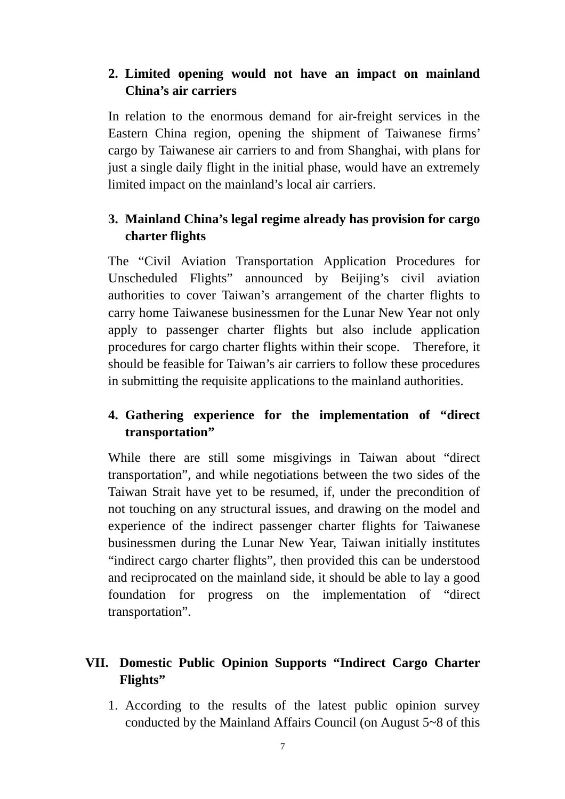# **2. Limited opening would not have an impact on mainland China's air carriers**

In relation to the enormous demand for air-freight services in the Eastern China region, opening the shipment of Taiwanese firms' cargo by Taiwanese air carriers to and from Shanghai, with plans for just a single daily flight in the initial phase, would have an extremely limited impact on the mainland's local air carriers.

# **3. Mainland China's legal regime already has provision for cargo charter flights**

The "Civil Aviation Transportation Application Procedures for Unscheduled Flights" announced by Beijing's civil aviation authorities to cover Taiwan's arrangement of the charter flights to carry home Taiwanese businessmen for the Lunar New Year not only apply to passenger charter flights but also include application procedures for cargo charter flights within their scope. Therefore, it should be feasible for Taiwan's air carriers to follow these procedures in submitting the requisite applications to the mainland authorities.

# **4. Gathering experience for the implementation of "direct transportation"**

While there are still some misgivings in Taiwan about "direct transportation", and while negotiations between the two sides of the Taiwan Strait have yet to be resumed, if, under the precondition of not touching on any structural issues, and drawing on the model and experience of the indirect passenger charter flights for Taiwanese businessmen during the Lunar New Year, Taiwan initially institutes "indirect cargo charter flights", then provided this can be understood and reciprocated on the mainland side, it should be able to lay a good foundation for progress on the implementation of "direct transportation".

# **VII. Domestic Public Opinion Supports "Indirect Cargo Charter Flights"**

1. According to the results of the latest public opinion survey conducted by the Mainland Affairs Council (on August 5~8 of this